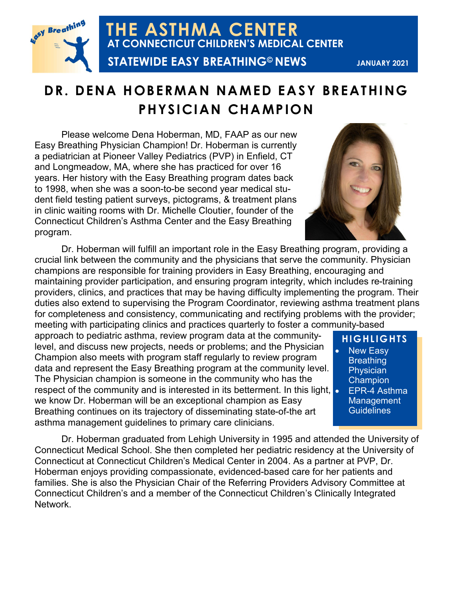

**THE ASTHMA CENTER AT CONNECTICUT CHILDREN'S MEDICAL CENTER STATEWIDE EASY BREATHING© NEWS**

**JANUARY 2021**

### **DR. DENA HOBERMAN NAMED EASY BREATHING PHYSICIAN CHAMPION**

Please welcome Dena Hoberman, MD, FAAP as our new Easy Breathing Physician Champion! Dr. Hoberman is currently a pediatrician at Pioneer Valley Pediatrics (PVP) in Enfield, CT and Longmeadow, MA, where she has practiced for over 16 years. Her history with the Easy Breathing program dates back to 1998, when she was a soon-to-be second year medical student field testing patient surveys, pictograms, & treatment plans in clinic waiting rooms with Dr. Michelle Cloutier, founder of the Connecticut Children's Asthma Center and the Easy Breathing program.

Dr. Hoberman will fulfill an important role in the Easy Breathing program, providing a crucial link between the community and the physicians that serve the community. Physician champions are responsible for training providers in Easy Breathing, encouraging and maintaining provider participation, and ensuring program integrity, which includes re-training providers, clinics, and practices that may be having difficulty implementing the program. Their duties also extend to supervising the Program Coordinator, reviewing asthma treatment plans for completeness and consistency, communicating and rectifying problems with the provider; meeting with participating clinics and practices quarterly to foster a community-based

approach to pediatric asthma, review program data at the communitylevel, and discuss new projects, needs or problems; and the Physician Champion also meets with program staff regularly to review program data and represent the Easy Breathing program at the community level. The Physician champion is someone in the community who has the respect of the community and is interested in its betterment. In this light, **o** we know Dr. Hoberman will be an exceptional champion as Easy Breathing continues on its trajectory of disseminating state-of-the art asthma management guidelines to primary care clinicians.

#### **HIGHLIGHTS**

- New Easy **Breathing Physician Champion**
- EPR-4 Asthma **Management Guidelines**

Dr. Hoberman graduated from Lehigh University in 1995 and attended the University of Connecticut Medical School. She then completed her pediatric residency at the University of Connecticut at Connecticut Children's Medical Center in 2004. As a partner at PVP, Dr. Hoberman enjoys providing compassionate, evidenced-based care for her patients and families. She is also the Physician Chair of the Referring Providers Advisory Committee at Connecticut Children's and a member of the Connecticut Children's Clinically Integrated Network.

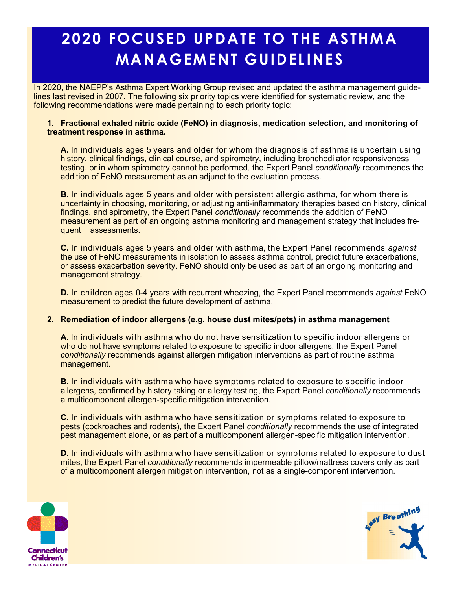## **2020 FOCUSED UPDATE TO THE ASTHMA MANAGEMENT GUIDELINES**

In 2020, the NAEPP's Asthma Expert Working Group revised and updated the asthma management guidelines last revised in 2007. The following six priority topics were identified for systematic review, and the following recommendations were made pertaining to each priority topic:

#### **1. Fractional exhaled nitric oxide (FeNO) in diagnosis, medication selection, and monitoring of treatment response in asthma.**

**A.** In individuals ages 5 years and older for whom the diagnosis of asthma is uncertain using history, clinical findings, clinical course, and spirometry, including bronchodilator responsiveness testing, or in whom spirometry cannot be performed, the Expert Panel *conditionally* recommends the addition of FeNO measurement as an adjunct to the evaluation process.

**B.** In individuals ages 5 years and older with persistent allergic asthma, for whom there is uncertainty in choosing, monitoring, or adjusting anti-inflammatory therapies based on history, clinical findings, and spirometry, the Expert Panel *conditionally* recommends the addition of FeNO measurement as part of an ongoing asthma monitoring and management strategy that includes frequent assessments.

**C.** In individuals ages 5 years and older with asthma, the Expert Panel recommends *against*  the use of FeNO measurements in isolation to assess asthma control, predict future exacerbations, or assess exacerbation severity. FeNO should only be used as part of an ongoing monitoring and management strategy.

**D.** In children ages 0-4 years with recurrent wheezing, the Expert Panel recommends *against* FeNO measurement to predict the future development of asthma.

#### **2. Remediation of indoor allergens (e.g. house dust mites/pets) in asthma management**

**A**. In individuals with asthma who do not have sensitization to specific indoor allergens or who do not have symptoms related to exposure to specific indoor allergens, the Expert Panel *conditionally* recommends against allergen mitigation interventions as part of routine asthma management.

**B.** In individuals with asthma who have symptoms related to exposure to specific indoor allergens, confirmed by history taking or allergy testing, the Expert Panel *conditionally* recommends a multicomponent allergen-specific mitigation intervention.

**C.** In individuals with asthma who have sensitization or symptoms related to exposure to pests (cockroaches and rodents), the Expert Panel *conditionally* recommends the use of integrated pest management alone, or as part of a multicomponent allergen-specific mitigation intervention.

**D.** In individuals with asthma who have sensitization or symptoms related to exposure to dust mites, the Expert Panel *conditionally* recommends impermeable pillow/mattress covers only as part of a multicomponent allergen mitigation intervention, not as a single-component intervention.



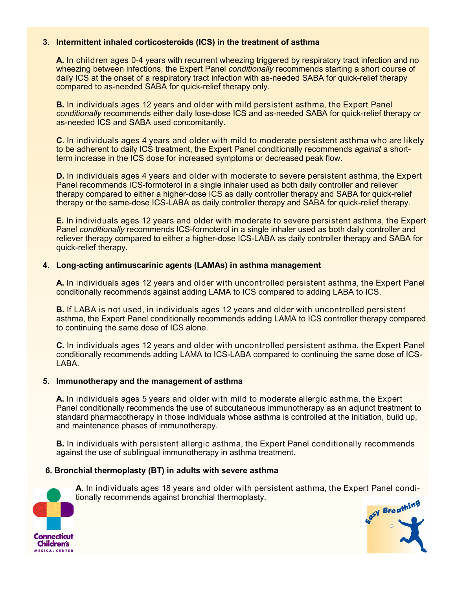#### **3. Intermittent inhaled corticosteroids (ICS) in the treatment of asthma**

**A.** In children ages 0-4 years with recurrent wheezing triggered by respiratory tract infection and no wheezing between infections, the Expert Panel *conditionally* recommends starting a short course of daily ICS at the onset of a respiratory tract infection with as-needed SABA for quick-relief therapy compared to as-needed SABA for quick-relief therapy only.

**B.** In individuals ages 12 years and older with mild persistent asthma, the Expert Panel *conditionally* recommends either daily lose-dose ICS and as-needed SABA for quick-relief therapy *or* as-needed ICS and SABA used concomitantly.

**C**. In individuals ages 4 years and older with mild to moderate persistent asthma who are likely to be adherent to daily ICS treatment, the Expert Panel conditionally recommends *against* a shortterm increase in the ICS dose for increased symptoms or decreased peak flow.

**D.** In individuals ages 4 years and older with moderate to severe persistent asthma, the Expert Panel recommends ICS-formoterol in a single inhaler used as both daily controller and reliever therapy compared to either a higher-dose ICS as daily controller therapy and SABA for quick-relief therapy or the same-dose ICS-LABA as daily controller therapy and SABA for quick-relief therapy.

**E.** In individuals ages 12 years and older with moderate to severe persistent asthma, the Expert Panel *conditionally* recommends ICS-formoterol in a single inhaler used as both daily controller and reliever therapy compared to either a higher-dose ICS-LABA as daily controller therapy and SABA for quick-relief therapy.

#### **4. Long-acting antimuscarinic agents (LAMAs) in asthma management**

**A.** In individuals ages 12 years and older with uncontrolled persistent asthma, the Expert Panel conditionally recommends against adding LAMA to ICS compared to adding LABA to ICS.

**B.** If LABA is not used, in individuals ages 12 years and older with uncontrolled persistent asthma, the Expert Panel conditionally recommends adding LAMA to ICS controller therapy compared to continuing the same dose of ICS alone.

**C.** In individuals ages 12 years and older with uncontrolled persistent asthma, the Expert Panel conditionally recommends adding LAMA to ICS-LABA compared to continuing the same dose of ICS-LABA.

#### **5. Immunotherapy and the management of asthma**

**A.** In individuals ages 5 years and older with mild to moderate allergic asthma, the Expert Panel conditionally recommends the use of subcutaneous immunotherapy as an adjunct treatment to standard pharmacotherapy in those individuals whose asthma is controlled at the initiation, build up, and maintenance phases of immunotherapy.

**B.** In individuals with persistent allergic asthma, the Expert Panel conditionally recommends against the use of sublingual immunotherapy in asthma treatment.

#### **6. Bronchial thermoplasty (BT) in adults with severe asthma**

Connecticut **Children's MEDICAL CENTER** 

**A.** In individuals ages 18 years and older with persistent asthma, the Expert Panel conditionally recommends against bronchial thermoplasty.